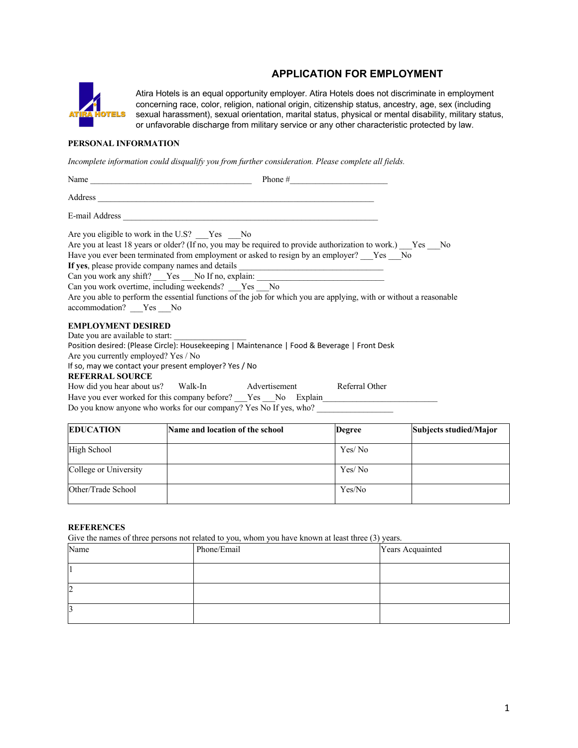## **APPLICATION FOR EMPLOYMENT**



Atira Hotels is an equal opportunity employer. Atira Hotels does not discriminate in employment concerning race, color, religion, national origin, citizenship status, ancestry, age, sex (including sexual harassment), sexual orientation, marital status, physical or mental disability, military status, or unfavorable discharge from military service or any other characteristic protected by law.

## **PERSONAL INFORMATION**

*Incomplete information could disqualify you from further consideration. Please complete all fields.* 

| Are you eligible to work in the U.S? Yes No                                                                                                          |  |
|------------------------------------------------------------------------------------------------------------------------------------------------------|--|
| Are you at least 18 years or older? (If no, you may be required to provide authorization to work.) Yes No                                            |  |
| Have you ever been terminated from employment or asked to resign by an employer? Yes No                                                              |  |
| If yes, please provide company names and details _______________________________                                                                     |  |
| Can you work any shift? __Yes __No If no, explain: _____________________________                                                                     |  |
| Can you work overtime, including weekends? Yes No                                                                                                    |  |
| Are you able to perform the essential functions of the job for which you are applying, with or without a reasonable<br>accommodation? ___ Yes ___ No |  |
| <b>EMPLOYMENT DESIRED</b>                                                                                                                            |  |
| Date you are available to start:                                                                                                                     |  |
| Position desired: (Please Circle): Housekeeping   Maintenance   Food & Beverage   Front Desk                                                         |  |
| Are you currently employed? Yes / No                                                                                                                 |  |
| If so, may we contact your present employer? Yes / No                                                                                                |  |
| <b>REFERRAL SOURCE</b>                                                                                                                               |  |
| How did you hear about us? Walk-In Advertisement Referral Other                                                                                      |  |
| Have you ever worked for this company before? Yes No Explain                                                                                         |  |

| Do you know anyone who works for our company? Yes No If yes, who? |  |  |
|-------------------------------------------------------------------|--|--|

| <b>EDUCATION</b>      | Name and location of the school | <b>Degree</b> | Subjects studied/Major |
|-----------------------|---------------------------------|---------------|------------------------|
| High School           |                                 | Yes/No        |                        |
| College or University |                                 | Yes/No        |                        |
| Other/Trade School    |                                 | Yes/No        |                        |

## **REFERENCES**

Give the names of three persons not related to you, whom you have known at least three (3) years.

| Name | .<br>Phone/Email | Years Acquainted |
|------|------------------|------------------|
|      |                  |                  |
| 2    |                  |                  |
|      |                  |                  |